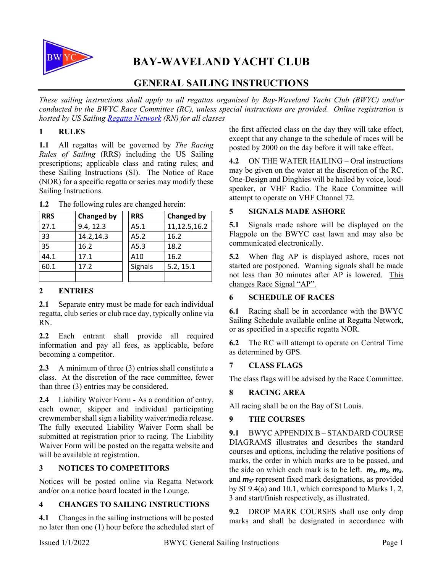

# **BAY-WAVELAND YACHT CLUB**

# **GENERAL SAILING INSTRUCTIONS**

*These sailing instructions shall apply to all regattas organized by Bay-Waveland Yacht Club (BWYC) and/or conducted by the BWYC Race Committee (RC), unless special instructions are provided. Online registration is hosted by US Sailing Regatta Network (RN) for all classes*

# **1 RULES**

**1.1** All regattas will be governed by *The Racing Rules of Sailing* (RRS) including the US Sailing prescriptions; applicable class and rating rules; and these Sailing Instructions (SI). The Notice of Race (NOR) for a specific regatta or series may modify these Sailing Instructions.

| <b>RRS</b> | <b>Changed by</b> | <b>RRS</b>     | <b>Changed by</b> |
|------------|-------------------|----------------|-------------------|
| 27.1       | 9.4, 12.3         | A5.1           | 11,12.5,16.2      |
| 33         | 14.2,14.3         | A5.2           | 16.2              |
| 35         | 16.2              | A5.3           | 18.2              |
| 44.1       | 17.1              | A10            | 16.2              |
| 60.1       | 17.2              | <b>Signals</b> | 5.2, 15.1         |
|            |                   |                |                   |

**1.2** The following rules are changed herein:

#### **2 ENTRIES**

**2.1** Separate entry must be made for each individual regatta, club series or club race day, typically online via RN.

**2.2** Each entrant shall provide all required information and pay all fees, as applicable, before becoming a competitor.

**2.3** A minimum of three (3) entries shall constitute a class. At the discretion of the race committee, fewer than three (3) entries may be considered.

**2.4** Liability Waiver Form - As a condition of entry, each owner, skipper and individual participating crewmember shall sign a liability waiver/media release. The fully executed Liability Waiver Form shall be submitted at registration prior to racing. The Liability Waiver Form will be posted on the regatta website and will be available at registration.

# **3 NOTICES TO COMPETITORS**

Notices will be posted online via Regatta Network and/or on a notice board located in the Lounge.

# **4 CHANGES TO SAILING INSTRUCTIONS**

**4.1** Changes in the sailing instructions will be posted no later than one (1) hour before the scheduled start of the first affected class on the day they will take effect, except that any change to the schedule of races will be posted by 2000 on the day before it will take effect.

**4.2** ON THE WATER HAILING – Oral instructions may be given on the water at the discretion of the RC. One-Design and Dinghies will be hailed by voice, loudspeaker, or VHF Radio. The Race Committee will attempt to operate on VHF Channel 72.

#### **5 SIGNALS MADE ASHORE**

**5.1** Signals made ashore will be displayed on the Flagpole on the BWYC east lawn and may also be communicated electronically.

**5.2** When flag AP is displayed ashore, races not started are postponed. Warning signals shall be made not less than 30 minutes after AP is lowered. This changes Race Signal "AP".

# **6 SCHEDULE OF RACES**

**6.1** Racing shall be in accordance with the BWYC Sailing Schedule available online at Regatta Network, or as specified in a specific regatta NOR.

**6.2** The RC will attempt to operate on Central Time as determined by GPS.

# **7 CLASS FLAGS**

The class flags will be advised by the Race Committee.

# **8 RACING AREA**

All racing shall be on the Bay of St Louis.

# **9 THE COURSES**

**9.1** BWYC APPENDIX B – STANDARD COURSE DIAGRAMS illustrates and describes the standard courses and options, including the relative positions of marks, the order in which marks are to be passed, and the side on which each mark is to be left.  $m_1$ ,  $m_2$ ,  $m_3$ , and  $m_{SF}$  represent fixed mark designations, as provided by SI 9.4(a) and 10.1, which correspond to Marks 1, 2, 3 and start/finish respectively, as illustrated.

**9.2** DROP MARK COURSES shall use only drop marks and shall be designated in accordance with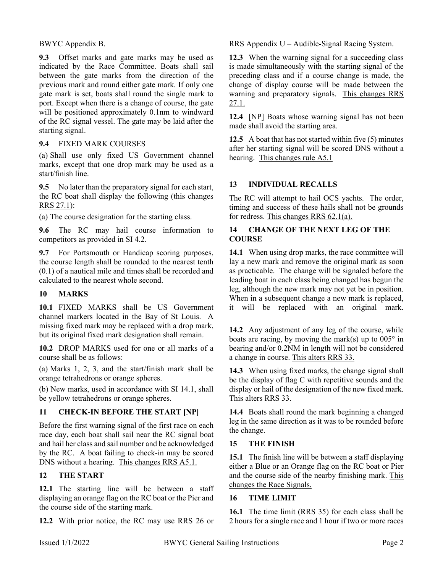BWYC Appendix B.

**9.3** Offset marks and gate marks may be used as indicated by the Race Committee. Boats shall sail between the gate marks from the direction of the previous mark and round either gate mark. If only one gate mark is set, boats shall round the single mark to port. Except when there is a change of course, the gate will be positioned approximately 0.1nm to windward of the RC signal vessel. The gate may be laid after the starting signal.

# **9.4** FIXED MARK COURSES

(a) Shall use only fixed US Government channel marks, except that one drop mark may be used as a start/finish line.

**9.5** No later than the preparatory signal for each start, the RC boat shall display the following (this changes RRS 27.1):

(a) The course designation for the starting class.

**9.6** The RC may hail course information to competitors as provided in SI 4.2.

**9.7** For Portsmouth or Handicap scoring purposes, the course length shall be rounded to the nearest tenth (0.1) of a nautical mile and times shall be recorded and calculated to the nearest whole second.

# **10 MARKS**

**10.1** FIXED MARKS shall be US Government channel markers located in the Bay of St Louis. A missing fixed mark may be replaced with a drop mark, but its original fixed mark designation shall remain.

**10.2** DROP MARKS used for one or all marks of a course shall be as follows:

(a) Marks 1, 2, 3, and the start/finish mark shall be orange tetrahedrons or orange spheres.

(b) New marks, used in accordance with SI 14.1, shall be yellow tetrahedrons or orange spheres.

# **11 CHECK-IN BEFORE THE START [NP]**

Before the first warning signal of the first race on each race day, each boat shall sail near the RC signal boat and hail her class and sail number and be acknowledged by the RC. A boat failing to check-in may be scored DNS without a hearing. This changes RRS A5.1.

# **12 THE START**

**12.1** The starting line will be between a staff displaying an orange flag on the RC boat or the Pier and the course side of the starting mark.

**12.2** With prior notice, the RC may use RRS 26 or

RRS Appendix U – Audible-Signal Racing System.

**12.3** When the warning signal for a succeeding class is made simultaneously with the starting signal of the preceding class and if a course change is made, the change of display course will be made between the warning and preparatory signals. This changes RRS 27.1.

**12.4** [NP] Boats whose warning signal has not been made shall avoid the starting area.

**12.5** A boat that has not started within five (5) minutes after her starting signal will be scored DNS without a hearing. This changes rule A5.1

# **13 INDIVIDUAL RECALLS**

The RC will attempt to hail OCS yachts. The order, timing and success of these hails shall not be grounds for redress. This changes RRS 62.1(a).

# **14 CHANGE OF THE NEXT LEG OF THE COURSE**

14.1 When using drop marks, the race committee will lay a new mark and remove the original mark as soon as practicable. The change will be signaled before the leading boat in each class being changed has begun the leg, although the new mark may not yet be in position. When in a subsequent change a new mark is replaced, it will be replaced with an original mark.

**14.2** Any adjustment of any leg of the course, while boats are racing, by moving the mark(s) up to  $005^\circ$  in bearing and/or 0.2NM in length will not be considered a change in course. This alters RRS 33.

**14.3** When using fixed marks, the change signal shall be the display of flag C with repetitive sounds and the display or hail of the designation of the new fixed mark. This alters RRS 33.

**14.4** Boats shall round the mark beginning a changed leg in the same direction as it was to be rounded before the change.

# **15 THE FINISH**

**15.1** The finish line will be between a staff displaying either a Blue or an Orange flag on the RC boat or Pier and the course side of the nearby finishing mark. This changes the Race Signals.

# **16 TIME LIMIT**

**16.1** The time limit (RRS 35) for each class shall be 2 hours for a single race and 1 hour if two or more races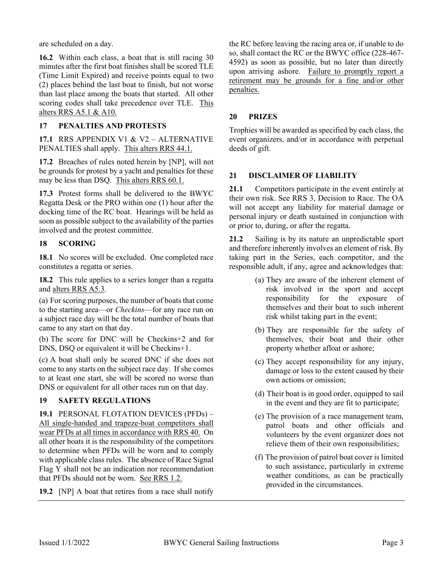are scheduled on a day.

**16.2** Within each class, a boat that is still racing 30 minutes after the first boat finishes shall be scored TLE (Time Limit Expired) and receive points equal to two (2) places behind the last boat to finish, but not worse than last place among the boats that started. All other scoring codes shall take precedence over TLE. This alters RRS A5.1 & A10.

#### **17 PENALTIES AND PROTESTS**

**17.1** RRS APPENDIX V1 & V2 – ALTERNATIVE PENALTIES shall apply. This alters RRS 44.1.

**17.2** Breaches of rules noted herein by [NP], will not be grounds for protest by a yacht and penalties for these may be less than DSQ. This alters RRS 60.1.

**17.3** Protest forms shall be delivered to the BWYC Regatta Desk or the PRO within one (1) hour after the docking time of the RC boat. Hearings will be held as soon as possible subject to the availability of the parties involved and the protest committee.

#### **18 SCORING**

**18.1** No scores will be excluded. One completed race constitutes a regatta or series.

**18.2** This rule applies to a series longer than a regatta and alters RRS A5.3.

(a) For scoring purposes, the number of boats that come to the starting area—or *Checkins*—for any race run on a subject race day will be the total number of boats that came to any start on that day.

(b) The score for DNC will be Checkins+2 and for DNS, DSQ or equivalent it will be Checkins+1.

(c) A boat shall only be scored DNC if she does not come to any starts on the subject race day. If she comes to at least one start, she will be scored no worse than DNS or equivalent for all other races run on that day.

# **19 SAFETY REGULATIONS**

**19.1** PERSONAL FLOTATION DEVICES (PFDs) – All single-handed and trapeze-boat competitors shall wear PFDs at all times in accordance with RRS 40. On all other boats it is the responsibility of the competitors to determine when PFDs will be worn and to comply with applicable class rules. The absence of Race Signal Flag Y shall not be an indication nor recommendation that PFDs should not be worn. See RRS 1.2.

**19.2** [NP] A boat that retires from a race shall notify

the RC before leaving the racing area or, if unable to do so, shall contact the RC or the BWYC office (228-467- 4592) as soon as possible, but no later than directly upon arriving ashore. Failure to promptly report a retirement may be grounds for a fine and/or other penalties.

#### **20 PRIZES**

Trophies will be awarded as specified by each class, the event organizers, and/or in accordance with perpetual deeds of gift.

#### **21 DISCLAIMER OF LIABILITY**

**21.1** Competitors participate in the event entirely at their own risk. See RRS 3, Decision to Race. The OA will not accept any liability for material damage or personal injury or death sustained in conjunction with or prior to, during, or after the regatta.

**21.2** Sailing is by its nature an unpredictable sport and therefore inherently involves an element of risk. By taking part in the Series, each competitor, and the responsible adult, if any, agree and acknowledges that:

- (a) They are aware of the inherent element of risk involved in the sport and accept responsibility for the exposure of themselves and their boat to such inherent risk whilst taking part in the event;
- (b) They are responsible for the safety of themselves, their boat and their other property whether afloat or ashore;
- (c) They accept responsibility for any injury, damage or loss to the extent caused by their own actions or omission;
- (d) Their boat is in good order, equipped to sail in the event and they are fit to participate;
- (e) The provision of a race management team, patrol boats and other officials and volunteers by the event organizer does not relieve them of their own responsibilities;
- (f) The provision of patrol boat cover is limited to such assistance, particularly in extreme weather conditions, as can be practically provided in the circumstances.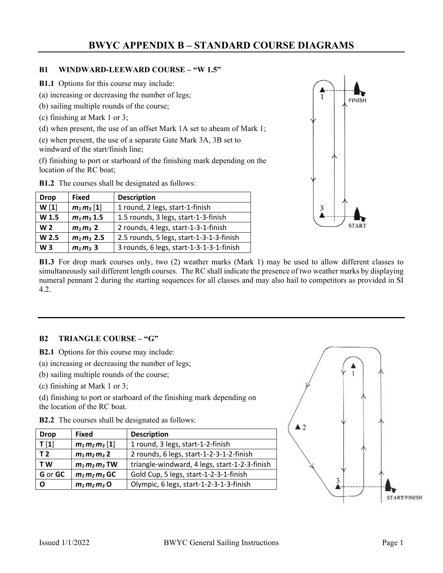# **BWYC APPENDIX B – STANDARD COURSE DIAGRAMS**

#### **B1 WINDWARD-LEEWARD COURSE – "W 1.5"**

**B1.1** Options for this course may include:

- (a) increasing or decreasing the number of legs;
- (b) sailing multiple rounds of the course;
- (c) finishing at Mark 1 or 3;
- (d) when present, the use of an offset Mark 1A set to abeam of Mark 1;

(e) when present, the use of a separate Gate Mark 3A, 3B set to windward of the start/finish line;

(f) finishing to port or starboard of the finishing mark depending on the location of the RC boat;

**B1.2** The courses shall be designated as follows:

| <b>Drop</b>      | <b>Fixed</b>  | <b>Description</b>                       |
|------------------|---------------|------------------------------------------|
| W[1]             | $m_1 m_3 [1]$ | 1 round, 2 legs, start-1-finish          |
| W 1.5            | $m_1 m_3 1.5$ | 1.5 rounds, 3 legs, start-1-3-finish     |
| W <sub>2</sub>   | $m_1 m_3$ 2   | 2 rounds, 4 legs, start-1-3-1-finish     |
| W <sub>2.5</sub> | $m_1 m_3$ 2.5 | 2.5 rounds, 5 legs, start-1-3-1-3-finish |
| W <sub>3</sub>   | $m_1 m_3$ 3   | 3 rounds, 6 legs, start-1-3-1-3-1-finish |



**B1.3** For drop mark courses only, two (2) weather marks (Mark 1) may be used to allow different classes to simultaneously sail different length courses. The RC shall indicate the presence of two weather marks by displaying numeral pennant 2 during the starting sequences for all classes and may also hail to competitors as provided in SI 4.2.

#### **B2 TRIANGLE COURSE – "G"**

**B2.1** Options for this course may include:

(a) increasing or decreasing the number of legs;

(b) sailing multiple rounds of the course;

(c) finishing at Mark 1 or 3;

(d) finishing to port or starboard of the finishing mark depending on the location of the RC boat.

|  | <b>B2.2</b> The courses shall be designated as follows: |  |  |  |
|--|---------------------------------------------------------|--|--|--|
|--|---------------------------------------------------------|--|--|--|

| <b>Drop</b>    | <b>Fixed</b>      | <b>Description</b>                            |
|----------------|-------------------|-----------------------------------------------|
| T[1]           | $m_1 m_2 m_3 [1]$ | 1 round, 3 legs, start-1-2-finish             |
| T <sub>2</sub> | $m_1 m_2 m_3 2$   | 2 rounds, 6 legs, start-1-2-3-1-2-finish      |
| T W            | $m_1 m_2 m_3$ TW  | triangle-windward, 4 legs, start-1-2-3-finish |
| G or GC        | $m_1 m_2 m_3$ GC  | Gold Cup, 5 legs, start-1-2-3-1-finish        |
| , O            | $m_1 m_2 m_3$ O   | Olympic, 6 legs, start-1-2-3-1-3-finish       |